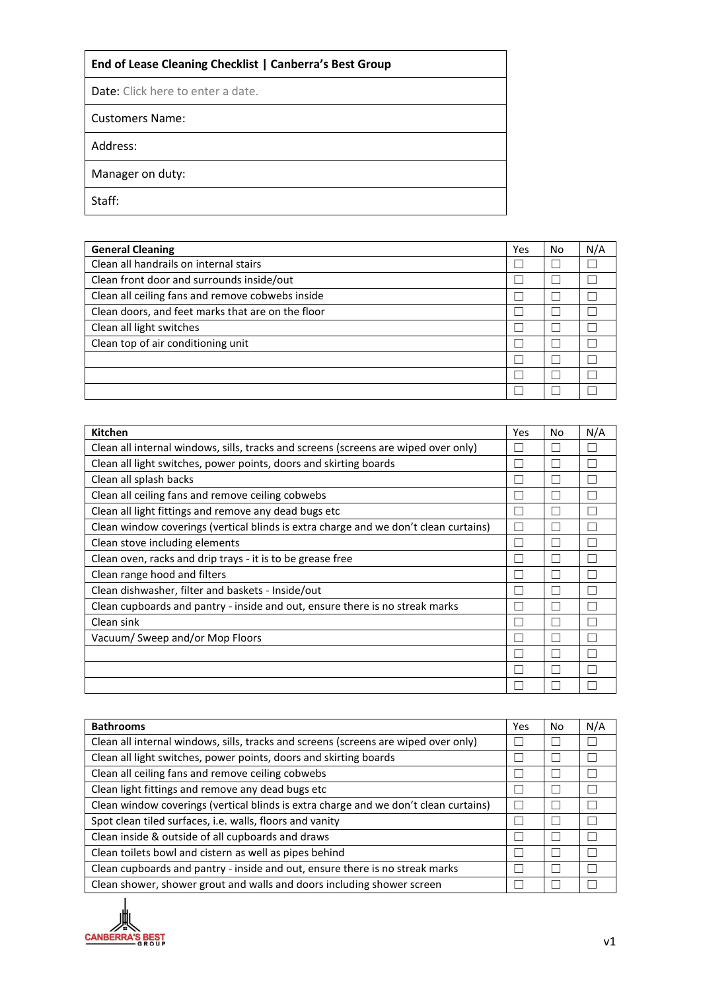## **End of Lease Cleaning Checklist | Canberra's Best Group**

Date: Click here to enter a date.

Customers Name:

Address:

Manager on duty:

Staff:

| <b>General Cleaning</b>                           | Yes | No | N/A |
|---------------------------------------------------|-----|----|-----|
| Clean all handrails on internal stairs            |     |    |     |
| Clean front door and surrounds inside/out         |     |    |     |
| Clean all ceiling fans and remove cobwebs inside  |     |    |     |
| Clean doors, and feet marks that are on the floor |     |    |     |
| Clean all light switches                          |     |    |     |
| Clean top of air conditioning unit                |     |    |     |
|                                                   |     |    |     |
|                                                   |     |    |     |
|                                                   |     |    |     |

| <b>Kitchen</b>                                                                       | Yes | No | N/A |
|--------------------------------------------------------------------------------------|-----|----|-----|
| Clean all internal windows, sills, tracks and screens (screens are wiped over only)  |     |    |     |
| Clean all light switches, power points, doors and skirting boards                    |     |    |     |
| Clean all splash backs                                                               |     |    |     |
| Clean all ceiling fans and remove ceiling cobwebs                                    |     |    |     |
| Clean all light fittings and remove any dead bugs etc                                |     |    |     |
| Clean window coverings (vertical blinds is extra charge and we don't clean curtains) |     |    |     |
| Clean stove including elements                                                       |     |    |     |
| Clean oven, racks and drip trays - it is to be grease free                           |     |    |     |
| Clean range hood and filters                                                         |     |    |     |
| Clean dishwasher, filter and baskets - Inside/out                                    |     |    |     |
| Clean cupboards and pantry - inside and out, ensure there is no streak marks         |     |    |     |
| Clean sink                                                                           |     |    |     |
| Vacuum/Sweep and/or Mop Floors                                                       |     |    |     |
|                                                                                      |     |    |     |
|                                                                                      |     |    |     |
|                                                                                      |     |    |     |

| <b>Bathrooms</b>                                                                     | Yes | No | N/A |
|--------------------------------------------------------------------------------------|-----|----|-----|
| Clean all internal windows, sills, tracks and screens (screens are wiped over only)  |     |    |     |
| Clean all light switches, power points, doors and skirting boards                    |     |    |     |
| Clean all ceiling fans and remove ceiling cobwebs                                    |     |    |     |
| Clean light fittings and remove any dead bugs etc                                    |     |    |     |
| Clean window coverings (vertical blinds is extra charge and we don't clean curtains) |     |    |     |
| Spot clean tiled surfaces, i.e. walls, floors and vanity                             |     |    |     |
| Clean inside & outside of all cupboards and draws                                    |     |    |     |
| Clean toilets bowl and cistern as well as pipes behind                               |     |    |     |
| Clean cupboards and pantry - inside and out, ensure there is no streak marks         |     |    |     |
| Clean shower, shower grout and walls and doors including shower screen               |     |    |     |

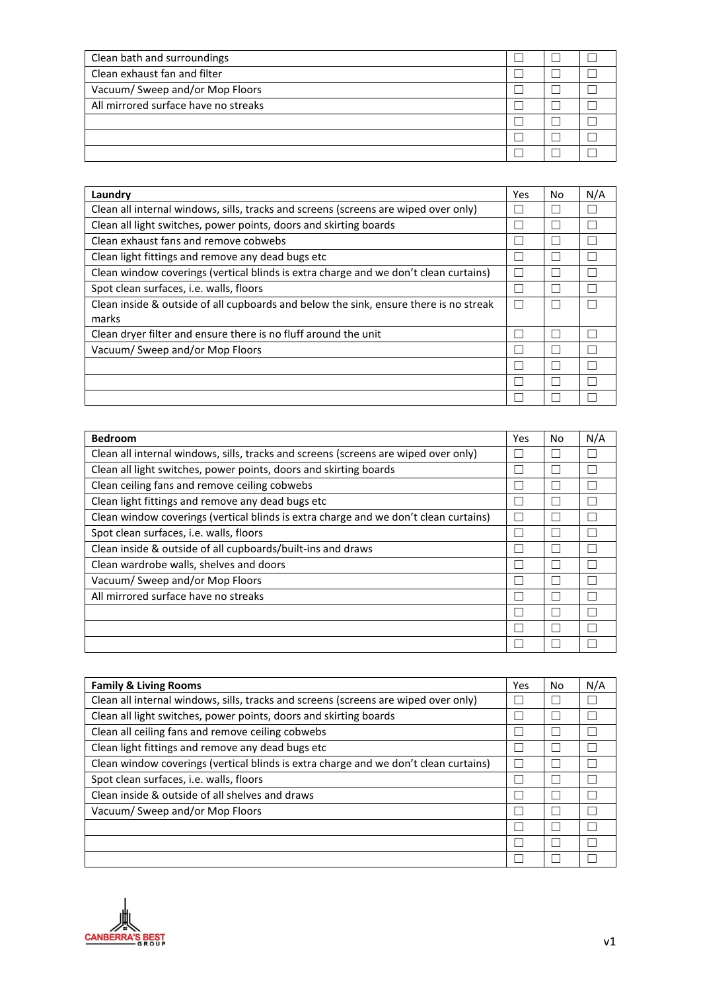| Clean bath and surroundings          |  |  |
|--------------------------------------|--|--|
| Clean exhaust fan and filter         |  |  |
| Vacuum/ Sweep and/or Mop Floors      |  |  |
| All mirrored surface have no streaks |  |  |
|                                      |  |  |
|                                      |  |  |
|                                      |  |  |

| Laundry                                                                               | Yes | No | N/A |
|---------------------------------------------------------------------------------------|-----|----|-----|
| Clean all internal windows, sills, tracks and screens (screens are wiped over only)   |     |    |     |
| Clean all light switches, power points, doors and skirting boards                     |     |    |     |
| Clean exhaust fans and remove cobwebs                                                 |     |    |     |
| Clean light fittings and remove any dead bugs etc                                     |     |    |     |
| Clean window coverings (vertical blinds is extra charge and we don't clean curtains)  |     |    |     |
| Spot clean surfaces, <i>i.e.</i> walls, floors                                        |     |    |     |
| Clean inside & outside of all cupboards and below the sink, ensure there is no streak |     |    |     |
| marks                                                                                 |     |    |     |
| Clean dryer filter and ensure there is no fluff around the unit                       |     |    |     |
| Vacuum/Sweep and/or Mop Floors                                                        |     |    |     |
|                                                                                       |     |    |     |
|                                                                                       |     |    |     |
|                                                                                       |     |    |     |

| <b>Bedroom</b>                                                                       | Yes | No | N/A |
|--------------------------------------------------------------------------------------|-----|----|-----|
| Clean all internal windows, sills, tracks and screens (screens are wiped over only)  |     |    |     |
| Clean all light switches, power points, doors and skirting boards                    |     |    |     |
| Clean ceiling fans and remove ceiling cobwebs                                        |     |    |     |
| Clean light fittings and remove any dead bugs etc                                    |     |    |     |
| Clean window coverings (vertical blinds is extra charge and we don't clean curtains) |     |    |     |
| Spot clean surfaces, i.e. walls, floors                                              |     |    |     |
| Clean inside & outside of all cupboards/built-ins and draws                          |     |    |     |
| Clean wardrobe walls, shelves and doors                                              |     |    |     |
| Vacuum/Sweep and/or Mop Floors                                                       |     |    |     |
| All mirrored surface have no streaks                                                 |     |    |     |
|                                                                                      |     |    |     |
|                                                                                      |     |    |     |
|                                                                                      |     |    |     |

| <b>Family &amp; Living Rooms</b>                                                     | Yes | No | N/A |
|--------------------------------------------------------------------------------------|-----|----|-----|
| Clean all internal windows, sills, tracks and screens (screens are wiped over only)  |     |    |     |
| Clean all light switches, power points, doors and skirting boards                    |     |    |     |
| Clean all ceiling fans and remove ceiling cobwebs                                    |     |    |     |
| Clean light fittings and remove any dead bugs etc                                    |     |    |     |
| Clean window coverings (vertical blinds is extra charge and we don't clean curtains) |     |    |     |
| Spot clean surfaces, i.e. walls, floors                                              |     |    |     |
| Clean inside & outside of all shelves and draws                                      |     |    |     |
| Vacuum/ Sweep and/or Mop Floors                                                      |     |    |     |
|                                                                                      |     |    |     |
|                                                                                      |     |    |     |
|                                                                                      |     |    |     |